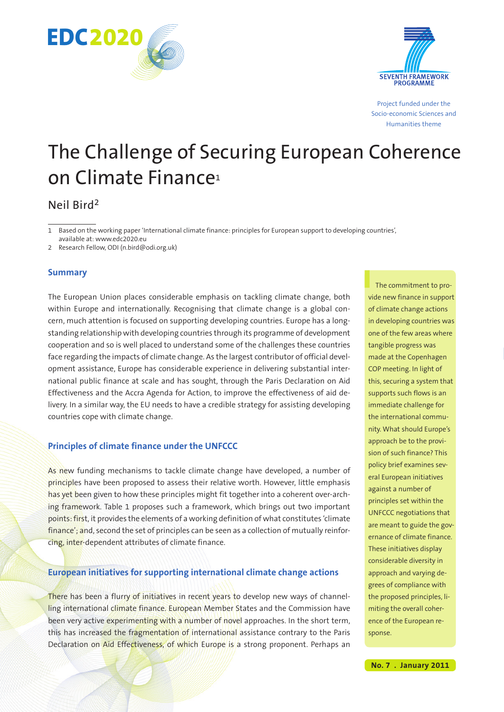



Project funded under the Socio-economic Sciences and Humanities theme

# The Challenge of Securing European Coherence on Climate Finance<sup>1</sup>

# Neil Bird2

1 Based on the working paper 'International climate finance: principles for European support to developing countries', available at: www.edc2020.eu

2 Research Fellow, ODI (n.bird@odi.org.uk)

## **Summary**

The European Union places considerable emphasis on tackling climate change, both within Europe and internationally. Recognising that climate change is a global concern, much attention is focused on supporting developing countries. Europe has a longstanding relationship with developing countries through its programme of development cooperation and so is well placed to understand some of the challenges these countries face regarding the impacts of climate change. As the largest contributor of official development assistance, Europe has considerable experience in delivering substantial international public finance at scale and has sought, through the Paris Declaration on Aid Effectiveness and the Accra Agenda for Action, to improve the effectiveness of aid delivery. In a similar way, the EU needs to have a credible strategy for assisting developing countries cope with climate change.

# **Principles of climate finance under the UNFCCC**

As new funding mechanisms to tackle climate change have developed, a number of principles have been proposed to assess their relative worth. However, little emphasis has yet been given to how these principles might fit together into a coherent over-arching framework. Table 1 proposes such a framework, which brings out two important points: first, it provides the elements of a working definition of what constitutes 'climate finance'; and, second the set of principles can be seen as a collection of mutually reinforcing, inter-dependent attributes of climate finance.

### **European initiatives for supporting international climate change actions**

There has been a flurry of initiatives in recent years to develop new ways of channelling international climate finance. European Member States and the Commission have been very active experimenting with a number of novel approaches. In the short term, this has increased the fragmentation of international assistance contrary to the Paris Declaration on Aid Effectiveness, of which Europe is a strong proponent. Perhaps an

The commitment to provide new finance in support of climate change actions in developing countries was one of the few areas where tangible progress was made at the Copenhagen COP meeting. In light of this, securing a system that supports such flows is an immediate challenge for the international community. What should Europe's approach be to the provision of such finance? This policy brief examines several European initiatives against a number of principles set within the UNFCCC negotiations that are meant to guide the governance of climate finance. These initiatives display considerable diversity in approach and varying degrees of compliance with the proposed principles, limiting the overall coherence of the European response.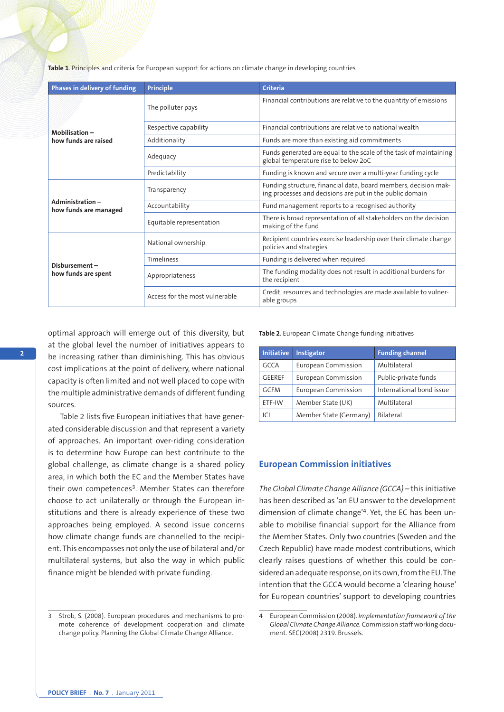**Table 1**. Principles and criteria for European support for actions on climate change in developing countries

| Phases in delivery of funding            | <b>Principle</b>               | <b>Criteria</b>                                                                                                             |
|------------------------------------------|--------------------------------|-----------------------------------------------------------------------------------------------------------------------------|
| Mobilisation-<br>how funds are raised    | The polluter pays              | Financial contributions are relative to the quantity of emissions                                                           |
|                                          | Respective capability          | Financial contributions are relative to national wealth                                                                     |
|                                          | Additionality                  | Funds are more than existing aid commitments                                                                                |
|                                          | Adequacy                       | Funds generated are equal to the scale of the task of maintaining<br>global temperature rise to below 2oC                   |
|                                          | Predictability                 | Funding is known and secure over a multi-year funding cycle                                                                 |
| Administration-<br>how funds are managed | Transparency                   | Funding structure, financial data, board members, decision mak-<br>ing processes and decisions are put in the public domain |
|                                          | Accountability                 | Fund management reports to a recognised authority                                                                           |
|                                          | Equitable representation       | There is broad representation of all stakeholders on the decision<br>making of the fund                                     |
| Disbursement-<br>how funds are spent     | National ownership             | Recipient countries exercise leadership over their climate change<br>policies and strategies                                |
|                                          | <b>Timeliness</b>              | Funding is delivered when required                                                                                          |
|                                          | Appropriateness                | The funding modality does not result in additional burdens for<br>the recipient                                             |
|                                          | Access for the most vulnerable | Credit, resources and technologies are made available to vulner-<br>able groups                                             |

optimal approach will emerge out of this diversity, but at the global level the number of initiatives appears to be increasing rather than diminishing. This has obvious cost implications at the point of delivery, where national capacity is often limited and not well placed to cope with the multiple administrative demands of different funding sources.

Table 2 lists five European initiatives that have generated considerable discussion and that represent a variety of approaches. An important over-riding consideration is to determine how Europe can best contribute to the global challenge, as climate change is a shared policy area, in which both the EC and the Member States have their own competences<sup>3</sup>. Member States can therefore choose to act unilaterally or through the European institutions and there is already experience of these two approaches being employed. A second issue concerns how climate change funds are channelled to the recipient. This encompasses not only the use of bilateral and / or multilateral systems, but also the way in which public finance might be blended with private funding.

**Table 2**. European Climate Change funding initiatives

| <b>Initiative</b> | <b>Instigator</b>          | <b>Funding channel</b>   |  |
|-------------------|----------------------------|--------------------------|--|
| <b>GCCA</b>       | <b>European Commission</b> | Multilateral             |  |
| <b>GEEREF</b>     | <b>European Commission</b> | Public-private funds     |  |
| <b>GCFM</b>       | <b>European Commission</b> | International bond issue |  |
| ETF-IW            | Member State (UK)          | Multilateral             |  |
| C                 | Member State (Germany)     | Bilateral                |  |

#### **European Commission initiatives**

*The Global Climate Change Alliance (GCCA)* – this initiative has been described as 'an EU answer to the development dimension of climate change'4. Yet, the EC has been unable to mobilise financial support for the Alliance from the Member States. Only two countries (Sweden and the Czech Republic) have made modest contributions, which clearly raises questions of whether this could be considered an adequate response, on its own, from the EU. The intention that the GCCA would become a 'clearing house' for European countries' support to developing countries

Strob, S. (2008). European procedures and mechanisms to promote coherence of development cooperation and climate change policy. Planning the Global Climate Change Alliance.

<sup>4</sup> European Commission (2008). *Implementation framework of the Global Climate Change Alliance.* Commission staff working document. SEC(2008) 2319. Brussels.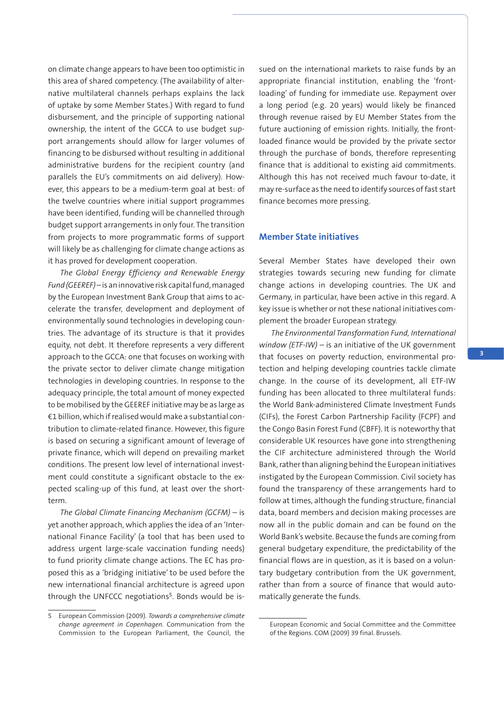on climate change appears to have been too optimistic in this area of shared competency. (The availability of alternative multilateral channels perhaps explains the lack of uptake by some Member States.) With regard to fund disbursement, and the principle of supporting national ownership, the intent of the GCCA to use budget support arrangements should allow for larger volumes of financing to be disbursed without resulting in additional administrative burdens for the recipient country (and parallels the EU's commitments on aid delivery). However, this appears to be a medium-term goal at best: of the twelve countries where initial support programmes have been identified, funding will be channelled through budget support arrangements in only four. The transition from projects to more programmatic forms of support will likely be as challenging for climate change actions as it has proved for development cooperation.

*The Global Energy Efficiency and Renewable Energy Fund(GEEREF)* – is an innovative risk capital fund, managed by the European Investment Bank Group that aims to accelerate the transfer, development and deployment of environmentally sound technologies in developing countries. The advantage of its structure is that it provides equity, not debt. It therefore represents a very different approach to the GCCA: one that focuses on working with the private sector to deliver climate change mitigation technologies in developing countries. In response to the adequacy principle, the total amount of money expected to be mobilised by the GEEREF initiative may be as large as €1 billion, which if realised would make a substantial contribution to climate-related finance. However, this figure is based on securing a significant amount of leverage of private finance, which will depend on prevailing market conditions. The present low level of international investment could constitute a significant obstacle to the expected scaling-up of this fund, at least over the shortterm.

*The Global Climate Financing Mechanism (GCFM)* – is yet another approach, which applies the idea of an 'International Finance Facility' (a tool that has been used to address urgent large-scale vaccination funding needs) to fund priority climate change actions. The EC has proposed this as a 'bridging initiative' to be used before the new international financial architecture is agreed upon through the UNFCCC negotiations<sup>5</sup>. Bonds would be issued on the international markets to raise funds by an appropriate financial institution, enabling the 'frontloading' of funding for immediate use. Repayment over a long period (e.g. 20 years) would likely be financed through revenue raised by EU Member States from the future auctioning of emission rights. Initially, the frontloaded finance would be provided by the private sector through the purchase of bonds, therefore representing finance that is additional to existing aid commitments. Although this has not received much favour to-date, it may re-surface as the need to identify sources of fast start finance becomes more pressing.

#### **Member State initiatives**

Several Member States have developed their own strategies towards securing new funding for climate change actions in developing countries. The UK and Germany, in particular, have been active in this regard. A key issue is whether or not these national initiatives complement the broader European strategy.

*The Environmental Transformation Fund, International window (ETF-IW) –* is an initiative of the UK government that focuses on poverty reduction, environmental protection and helping developing countries tackle climate change. In the course of its development, all ETF-IW funding has been allocated to three multilateral funds: the World Bank-administered Climate Investment Funds (CIFs), the Forest Carbon Partnership Facility (FCPF) and the Congo Basin Forest Fund (CBFF). It is noteworthy that considerable UK resources have gone into strengthening the CIF architecture administered through the World Bank, rather than aligning behind the European initiatives instigated by the European Commission. Civil society has found the transparency of these arrangements hard to follow at times, although the funding structure, financial data, board members and decision making processes are now all in the public domain and can be found on the World Bank's website. Because the funds are coming from general budgetary expenditure, the predictability of the financial flows are in question, as it is based on a voluntary budgetary contribution from the UK government, rather than from a source of finance that would automatically generate the funds.

<sup>5</sup> European Commission (2009). *Towards a comprehensive climate change agreement in Copenhagen.* Communication from the Commission to the European Parliament, the Council, the

European Economic and Social Committee and the Committee of the Regions. COM (2009) 39 final. Brussels.